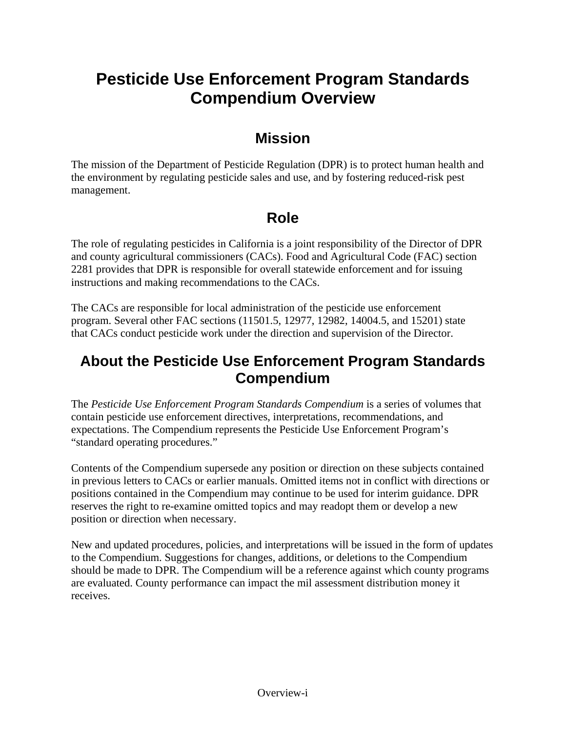# **Pesticide Use Enforcement Program Standards Compendium Overview**

### **Mission**

The mission of the Department of Pesticide Regulation (DPR) is to protect human health and the environment by regulating pesticide sales and use, and by fostering reduced-risk pest management.

## **Role**

The role of regulating pesticides in California is a joint responsibility of the Director of DPR and county agricultural commissioners (CACs). Food and Agricultural Code (FAC) section 2281 provides that DPR is responsible for overall statewide enforcement and for issuing instructions and making recommendations to the CACs.

The CACs are responsible for local administration of the pesticide use enforcement program. Several other FAC sections (11501.5, 12977, 12982, 14004.5, and 15201) state that CACs conduct pesticide work under the direction and supervision of the Director.

### **About the Pesticide Use Enforcement Program Standards Compendium**

The *Pesticide Use Enforcement Program Standards Compendium* is a series of volumes that contain pesticide use enforcement directives, interpretations, recommendations, and expectations. The Compendium represents the Pesticide Use Enforcement Program's "standard operating procedures."

Contents of the Compendium supersede any position or direction on these subjects contained in previous letters to CACs or earlier manuals. Omitted items not in conflict with directions or positions contained in the Compendium may continue to be used for interim guidance. DPR reserves the right to re-examine omitted topics and may readopt them or develop a new position or direction when necessary.

New and updated procedures, policies, and interpretations will be issued in the form of updates to the Compendium. Suggestions for changes, additions, or deletions to the Compendium should be made to DPR. The Compendium will be a reference against which county programs are evaluated. County performance can impact the mil assessment distribution money it receives.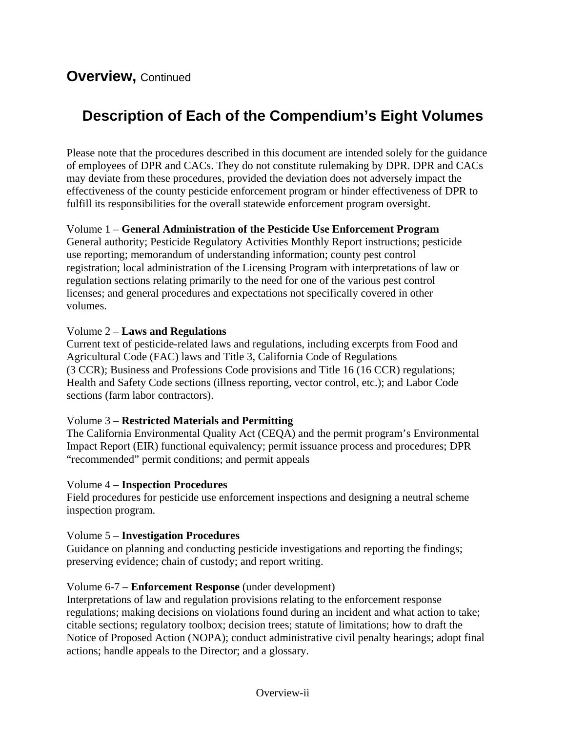## **Description of Each of the Compendium's Eight Volumes**

Please note that the procedures described in this document are intended solely for the guidance of employees of DPR and CACs. They do not constitute rulemaking by DPR. DPR and CACs may deviate from these procedures, provided the deviation does not adversely impact the effectiveness of the county pesticide enforcement program or hinder effectiveness of DPR to fulfill its responsibilities for the overall statewide enforcement program oversight.

Volume 1 – **General Administration of the Pesticide Use Enforcement Program**  General authority; Pesticide Regulatory Activities Monthly Report instructions; pesticide use reporting; memorandum of understanding information; county pest control registration; local administration of the Licensing Program with interpretations of law or regulation sections relating primarily to the need for one of the various pest control licenses; and general procedures and expectations not specifically covered in other volumes.

#### Volume 2 – **Laws and Regulations**

Current text of pesticide-related laws and regulations, including excerpts from Food and Agricultural Code (FAC) laws and Title 3, California Code of Regulations (3 CCR); Business and Professions Code provisions and Title 16 (16 CCR) regulations; Health and Safety Code sections (illness reporting, vector control, etc.); and Labor Code sections (farm labor contractors).

### Volume 3 – **Restricted Materials and Permitting**

The California Environmental Quality Act (CEQA) and the permit program's Environmental Impact Report (EIR) functional equivalency; permit issuance process and procedures; DPR "recommended" permit conditions; and permit appeals

#### Volume 4 – **Inspection Procedures**

Field procedures for pesticide use enforcement inspections and designing a neutral scheme inspection program.

### Volume 5 – **Investigation Procedures**

Guidance on planning and conducting pesticide investigations and reporting the findings; preserving evidence; chain of custody; and report writing.

### Volume 6-7 – **Enforcement Response** (under development)

Interpretations of law and regulation provisions relating to the enforcement response regulations; making decisions on violations found during an incident and what action to take; citable sections; regulatory toolbox; decision trees; statute of limitations; how to draft the Notice of Proposed Action (NOPA); conduct administrative civil penalty hearings; adopt final actions; handle appeals to the Director; and a glossary.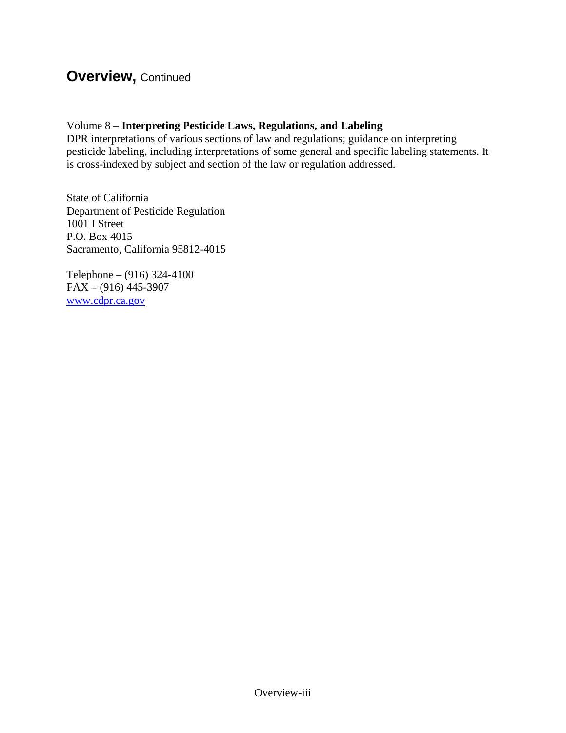### **Overview,** Continued

#### Volume 8 – **Interpreting Pesticide Laws, Regulations, and Labeling**

DPR interpretations of various sections of law and regulations; guidance on interpreting pesticide labeling, including interpretations of some general and specific labeling statements. It is cross-indexed by subject and section of the law or regulation addressed.

State of California Department of Pesticide Regulation 1001 I Street P.O. Box 4015 Sacramento, California 95812-4015

Telephone – (916) 324-4100  $FAX - (916)$  445-3907 [www.cdpr.ca.gov](http://www.cdpr.ca.gov)